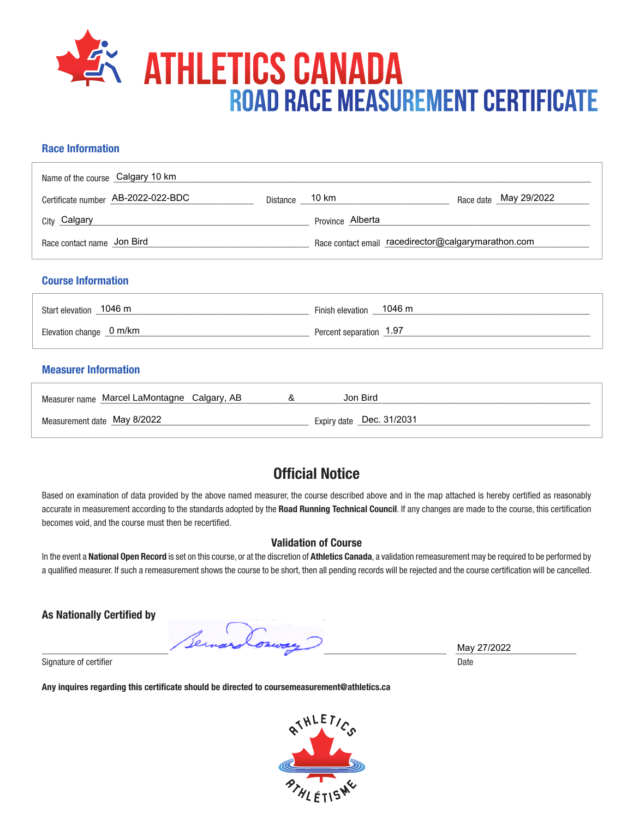

## **Race Information**

| Name of the course Calgary 10 km            |                |                                                     |
|---------------------------------------------|----------------|-----------------------------------------------------|
| Certificate number AB-2022-022-BDC          | Distance 10 km | Race date May 29/2022                               |
| City Calgary                                |                | Province Alberta                                    |
| Race contact name Jon Bird                  |                | Race contact email racedirector@calgarymarathon.com |
| <b>Course Information</b>                   |                |                                                     |
| Start elevation 1046 m                      |                | Finish elevation _ 1046 m                           |
| Elevation change 0 m/km                     |                | Percent separation 1.97                             |
| <b>Measurer Information</b>                 |                |                                                     |
| Measurer name Marcel LaMontagne Calgary, AB | &              | Jon Bird                                            |
| Measurement date May 8/2022                 |                | Expiry date _Dec. 31/2031                           |

## **Official Notice**

Based on examination of data provided by the above named measurer, the course described above and in the map attached is hereby certified as reasonably accurate in measurement according to the standards adopted by the **Road Running Technical Council**. If any changes are made to the course, this certification becomes void, and the course must then be recertified.

## **Validation of Course**

In the event a **National Open Record** is set on this course, or at the discretion of **Athletics Canada**, a validation remeasurement may be required to be performed by a qualified measurer. If such a remeasurement shows the course to be short, then all pending records will be rejected and the course certification will be cancelled.

**As Nationally Certified by**

Per \_\_\_\_\_\_\_\_\_\_\_\_\_\_\_\_\_\_\_\_\_\_\_\_\_\_\_\_\_\_\_\_\_\_\_\_\_\_\_\_\_\_\_\_\_\_\_\_\_\_\_\_\_\_\_\_\_\_\_\_\_\_\_\_\_\_\_\_\_\_\_\_\_\_\_\_\_\_\_\_\_\_\_\_\_\_\_ \_\_\_\_\_\_\_\_\_\_\_\_\_\_\_\_\_\_\_\_\_\_\_\_\_\_

Signature of certifier Date Date of Certifier and Contract of Certifier and Date Date of Certifier and Date Date of Certifier and Date of Certifier and Date of Certifier and Date of Certifier and Date of Certifier and Date

**Any inquires regarding this certificate should be directed to coursemeasurement@athletics.ca**



May 27/2022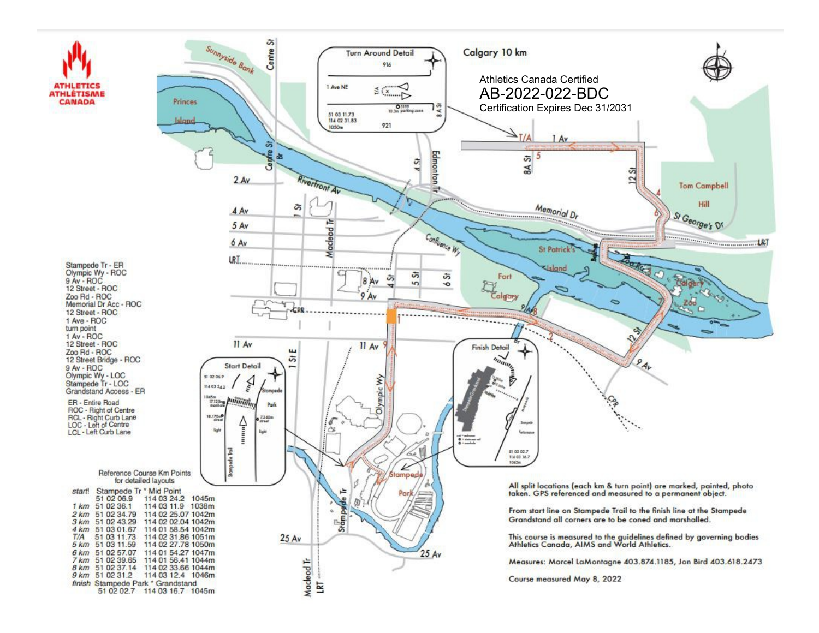